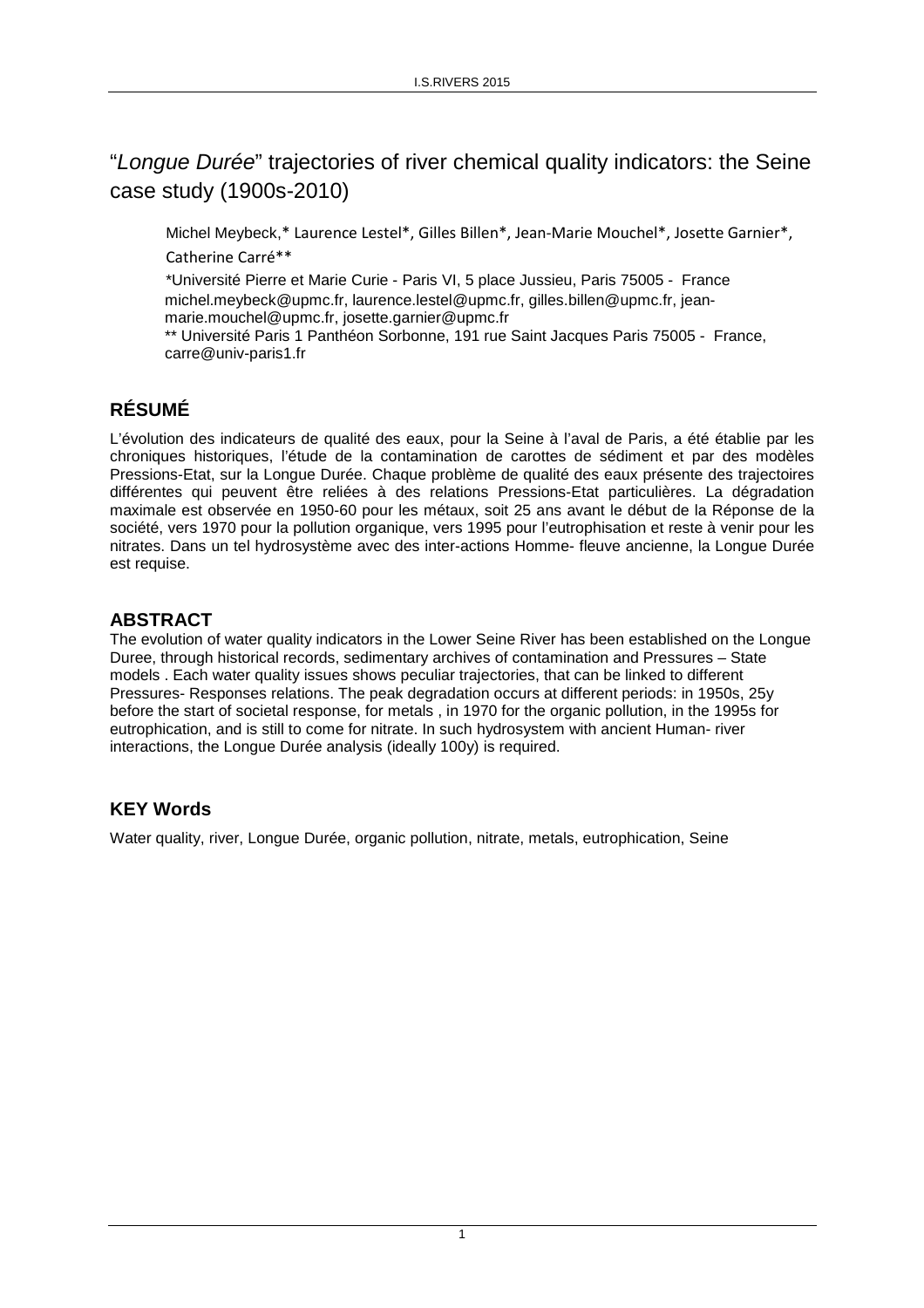# "Longue Durée" trajectories of river chemical quality indicators: the Seine case study (1900s-2010)

Michel Meybeck,\* Laurence Lestel\*, Gilles Billen\*, Jean-Marie Mouchel\*, Josette Garnier\*, Catherine Carré\*\*

\*Université Pierre et Marie Curie - Paris VI, 5 place Jussieu, Paris 75005 - France michel.meybeck@upmc.fr, laurence.lestel@upmc.fr, gilles.billen@upmc.fr, jeanmarie.mouchel@upmc.fr, josette.garnier@upmc.fr

\*\* Université Paris 1 Panthéon Sorbonne, 191 rue Saint Jacques Paris 75005 - France, carre@univ-paris1.fr

# **RÉSUMÉ**

L'évolution des indicateurs de qualité des eaux, pour la Seine à l'aval de Paris, a été établie par les chroniques historiques, l'étude de la contamination de carottes de sédiment et par des modèles Pressions-Etat, sur la Longue Durée. Chaque problème de qualité des eaux présente des trajectoires différentes qui peuvent être reliées à des relations Pressions-Etat particulières. La dégradation maximale est observée en 1950-60 pour les métaux, soit 25 ans avant le début de la Réponse de la société, vers 1970 pour la pollution organique, vers 1995 pour l'eutrophisation et reste à venir pour les nitrates. Dans un tel hydrosystème avec des inter-actions Homme- fleuve ancienne, la Longue Durée est requise.

#### **ABSTRACT**

The evolution of water quality indicators in the Lower Seine River has been established on the Longue Duree, through historical records, sedimentary archives of contamination and Pressures – State models . Each water quality issues shows peculiar trajectories, that can be linked to different Pressures- Responses relations. The peak degradation occurs at different periods: in 1950s, 25y before the start of societal response, for metals , in 1970 for the organic pollution, in the 1995s for eutrophication, and is still to come for nitrate. In such hydrosystem with ancient Human- river interactions, the Longue Durée analysis (ideally 100y) is required.

#### **KEY Words**

Water quality, river, Longue Durée, organic pollution, nitrate, metals, eutrophication, Seine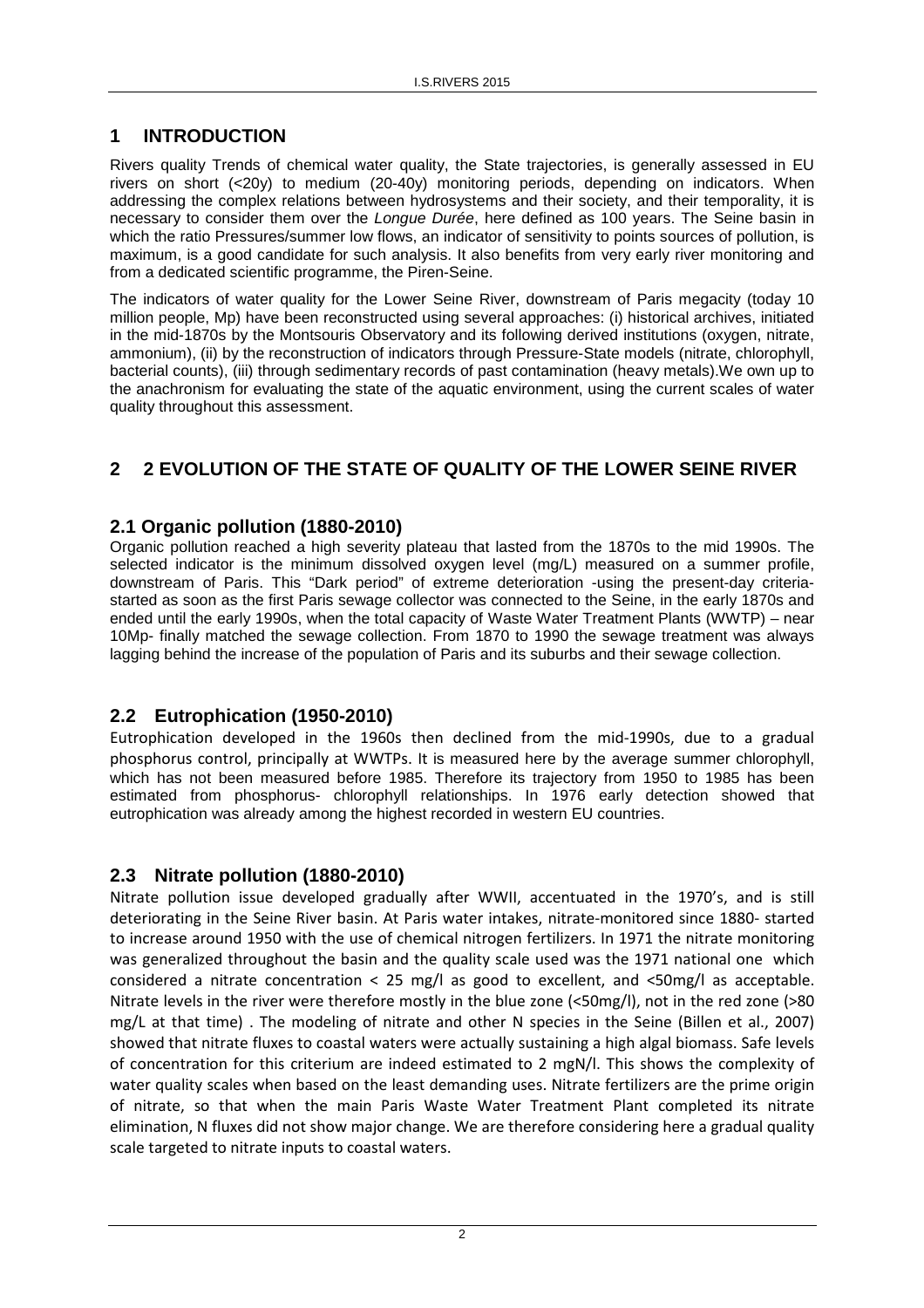## **1 INTRODUCTION**

Rivers quality Trends of chemical water quality, the State trajectories, is generally assessed in EU rivers on short (<20y) to medium (20-40y) monitoring periods, depending on indicators. When addressing the complex relations between hydrosystems and their society, and their temporality, it is necessary to consider them over the Longue Durée, here defined as 100 years. The Seine basin in which the ratio Pressures/summer low flows, an indicator of sensitivity to points sources of pollution, is maximum, is a good candidate for such analysis. It also benefits from very early river monitoring and from a dedicated scientific programme, the Piren-Seine.

The indicators of water quality for the Lower Seine River, downstream of Paris megacity (today 10 million people, Mp) have been reconstructed using several approaches: (i) historical archives, initiated in the mid-1870s by the Montsouris Observatory and its following derived institutions (oxygen, nitrate, ammonium), (ii) by the reconstruction of indicators through Pressure-State models (nitrate, chlorophyll, bacterial counts), (iii) through sedimentary records of past contamination (heavy metals).We own up to the anachronism for evaluating the state of the aquatic environment, using the current scales of water quality throughout this assessment.

## **2 2 EVOLUTION OF THE STATE OF QUALITY OF THE LOWER SEINE RIVER**

#### **2.1 Organic pollution (1880-2010)**

Organic pollution reached a high severity plateau that lasted from the 1870s to the mid 1990s. The selected indicator is the minimum dissolved oxygen level (mg/L) measured on a summer profile, downstream of Paris. This "Dark period" of extreme deterioration -using the present-day criteriastarted as soon as the first Paris sewage collector was connected to the Seine, in the early 1870s and ended until the early 1990s, when the total capacity of Waste Water Treatment Plants (WWTP) – near 10Mp- finally matched the sewage collection. From 1870 to 1990 the sewage treatment was always lagging behind the increase of the population of Paris and its suburbs and their sewage collection.

#### **2.2 Eutrophication (1950-2010)**

Eutrophication developed in the 1960s then declined from the mid-1990s, due to a gradual phosphorus control, principally at WWTPs. It is measured here by the average summer chlorophyll, which has not been measured before 1985. Therefore its trajectory from 1950 to 1985 has been estimated from phosphorus- chlorophyll relationships. In 1976 early detection showed that eutrophication was already among the highest recorded in western EU countries.

#### **2.3 Nitrate pollution (1880-2010)**

Nitrate pollution issue developed gradually after WWII, accentuated in the 1970's, and is still deteriorating in the Seine River basin. At Paris water intakes, nitrate-monitored since 1880- started to increase around 1950 with the use of chemical nitrogen fertilizers. In 1971 the nitrate monitoring was generalized throughout the basin and the quality scale used was the 1971 national one which considered a nitrate concentration < 25 mg/l as good to excellent, and <50mg/l as acceptable. Nitrate levels in the river were therefore mostly in the blue zone (<50mg/l), not in the red zone (>80 mg/L at that time) . The modeling of nitrate and other N species in the Seine (Billen et al., 2007) showed that nitrate fluxes to coastal waters were actually sustaining a high algal biomass. Safe levels of concentration for this criterium are indeed estimated to 2 mgN/l. This shows the complexity of water quality scales when based on the least demanding uses. Nitrate fertilizers are the prime origin of nitrate, so that when the main Paris Waste Water Treatment Plant completed its nitrate elimination, N fluxes did not show major change. We are therefore considering here a gradual quality scale targeted to nitrate inputs to coastal waters.